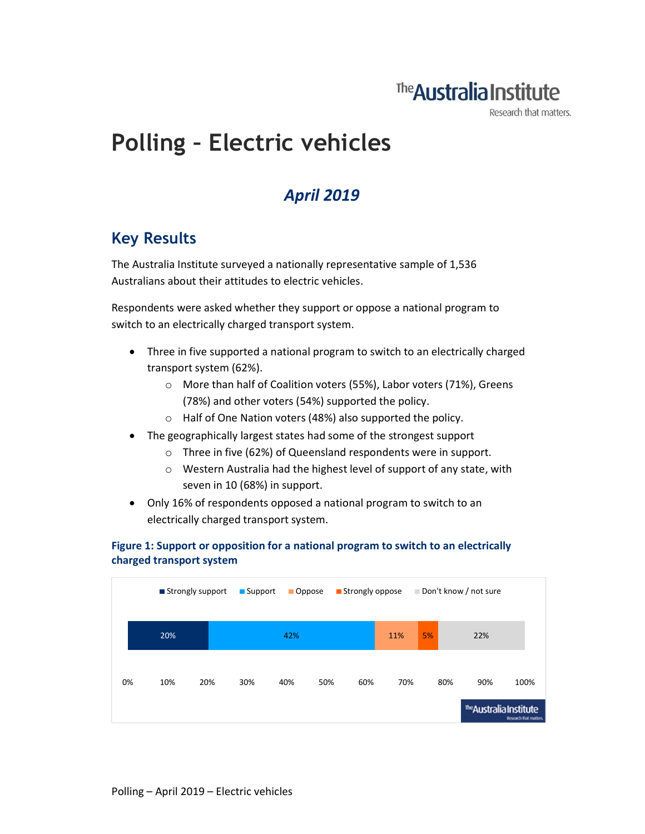## The **Australia Institute**

Research that matters.

# Polling – Electric vehicles

### April 2019

### Key Results

The Australia Institute surveyed a nationally representative sample of 1,536 Australians about their attitudes to electric vehicles.

Respondents were asked whether they support or oppose a national program to switch to an electrically charged transport system.

- Three in five supported a national program to switch to an electrically charged transport system (62%).
	- o More than half of Coalition voters (55%), Labor voters (71%), Greens (78%) and other voters (54%) supported the policy.
	- o Half of One Nation voters (48%) also supported the policy.
- The geographically largest states had some of the strongest support
	- o Three in five (62%) of Queensland respondents were in support.
	- o Western Australia had the highest level of support of any state, with seven in 10 (68%) in support.
- Only 16% of respondents opposed a national program to switch to an electrically charged transport system.

#### Figure 1: Support or opposition for a national program to switch to an electrically charged transport system

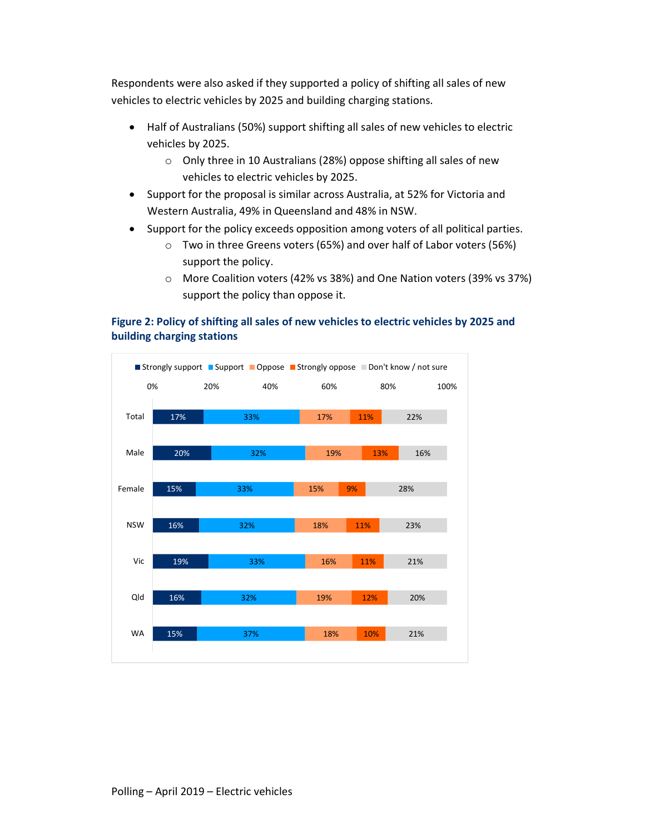Respondents were also asked if they supported a policy of shifting all sales of new vehicles to electric vehicles by 2025 and building charging stations.

- Half of Australians (50%) support shifting all sales of new vehicles to electric vehicles by 2025.
	- o Only three in 10 Australians (28%) oppose shifting all sales of new vehicles to electric vehicles by 2025.
- Support for the proposal is similar across Australia, at 52% for Victoria and Western Australia, 49% in Queensland and 48% in NSW.
- Support for the policy exceeds opposition among voters of all political parties.
	- o Two in three Greens voters (65%) and over half of Labor voters (56%) support the policy.
	- o More Coalition voters (42% vs 38%) and One Nation voters (39% vs 37%) support the policy than oppose it.

#### Figure 2: Policy of shifting all sales of new vehicles to electric vehicles by 2025 and building charging stations

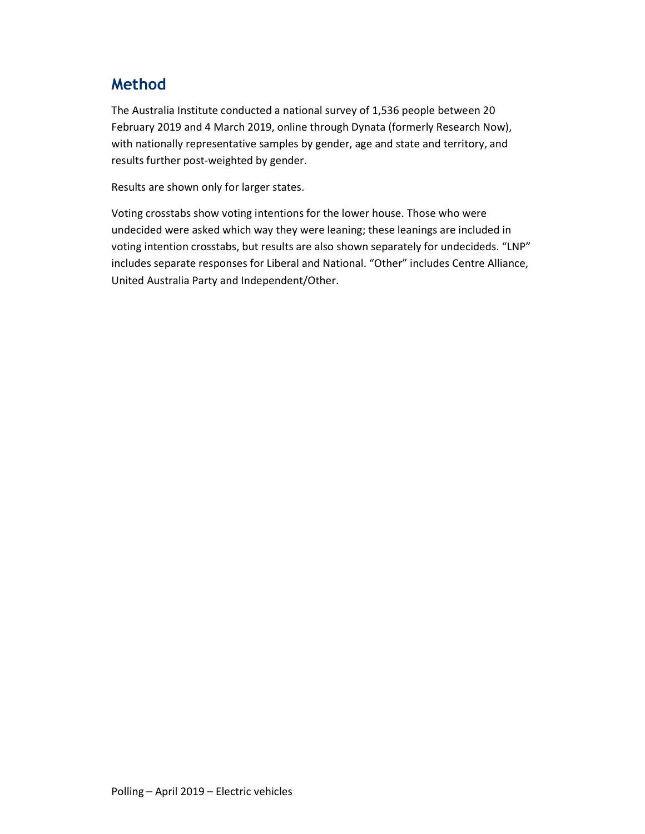### Method

The Australia Institute conducted a national survey of 1,536 people between 20 February 2019 and 4 March 2019, online through Dynata (formerly Research Now), with nationally representative samples by gender, age and state and territory, and results further post-weighted by gender.

Results are shown only for larger states.

Voting crosstabs show voting intentions for the lower house. Those who were undecided were asked which way they were leaning; these leanings are included in voting intention crosstabs, but results are also shown separately for undecideds. "LNP" includes separate responses for Liberal and National. "Other" includes Centre Alliance, United Australia Party and Independent/Other.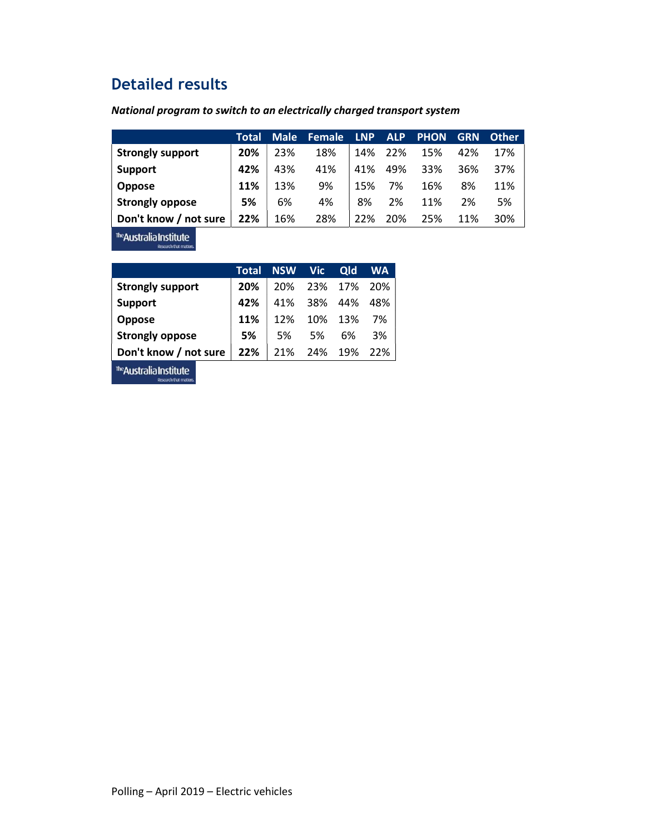### Detailed results

#### National program to switch to an electrically charged transport system

|                                                                                               | Total | <b>Male</b> | Female | <b>LNP</b> | <b>ALP</b> | <b>PHON</b> | <b>GRN</b> | <b>Other</b> |
|-----------------------------------------------------------------------------------------------|-------|-------------|--------|------------|------------|-------------|------------|--------------|
| <b>Strongly support</b>                                                                       | 20%   | 23%         | 18%    | 14%        | 22%        | 15%         | 42%        | 17%          |
| <b>Support</b>                                                                                | 42%   | 43%         | 41%    | 41%        | 49%        | 33%         | 36%        | 37%          |
| <b>Oppose</b>                                                                                 | 11%   | 13%         | 9%     | 15%        | 7%         | 16%         | 8%         | 11%          |
| <b>Strongly oppose</b>                                                                        | 5%    | 6%          | 4%     | 8%         | 2%         | 11%         | 2%         | 5%           |
| Don't know / not sure                                                                         | 22%   | 16%         | 28%    | 22%        | 20%        | 25%         | 11%        | 30%          |
| the company of the company of the company of the company of the company of the company of the |       |             |        |            |            |             |            |              |

The **Australia Institute** 

|                         | Total | NSW Vic |     | <b>Qld</b>  | <b>WA</b> |
|-------------------------|-------|---------|-----|-------------|-----------|
| <b>Strongly support</b> | 20%   | 20%     |     | 23% 17% 20% |           |
| <b>Support</b>          | 42%   | 41%     |     | 38% 44%     | 48%       |
| Oppose                  | 11%   | 12%     |     | 10% 13%     | 7%        |
| <b>Strongly oppose</b>  | 5%    | 5%      | 5%  | 6%          | 3%        |
| Don't know / not sure   | 22%   | 21%     | 24% | 19%         | 22%       |
|                         |       |         |     |             |           |

The **Australia Institute**